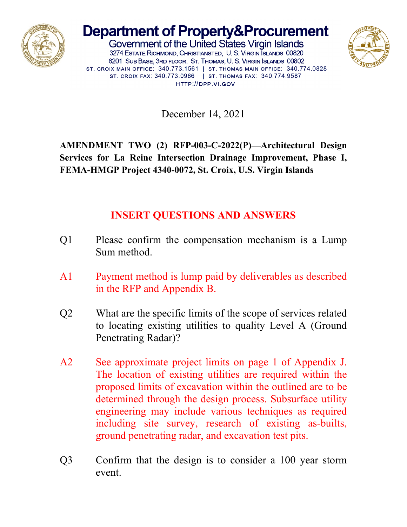

## **Department of Property&Procurement**

Government of the United States Virgin Islands 3274 ESTATE RICHMOND, CHRISTIANSTED, U. S. VIRGIN SLANDS 00820 8201 SUB BASE, 3RD FLOOR, ST. THOMAS, U. S. VIRGIN ISLANDS 00802 ST. CROIX MAIN OFFICE: 340.773.1561 | ST. THOMAS MAIN OFFICE: 340.774.0828 ST. CROIX FAX: 340.773.0986 | ST. THOMAS FAX: 340.774.9587 HTTP://DPP.VI.GOV



December 14, 2021

**AMENDMENT TWO (2) RFP-003-C-2022(P)—Architectural Design Services for La Reine Intersection Drainage Improvement, Phase I, FEMA-HMGP Project 4340-0072, St. Croix, U.S. Virgin Islands**

## **INSERT QUESTIONS AND ANSWERS**

- Q1 Please confirm the compensation mechanism is a Lump Sum method.
- A1 Payment method is lump paid by deliverables as described in the RFP and Appendix B.
- Q2 What are the specific limits of the scope of services related to locating existing utilities to quality Level A (Ground Penetrating Radar)?
- A2 See approximate project limits on page 1 of Appendix J. The location of existing utilities are required within the proposed limits of excavation within the outlined are to be determined through the design process. Subsurface utility engineering may include various techniques as required including site survey, research of existing as-builts, ground penetrating radar, and excavation test pits.
- Q3 Confirm that the design is to consider a 100 year storm event.